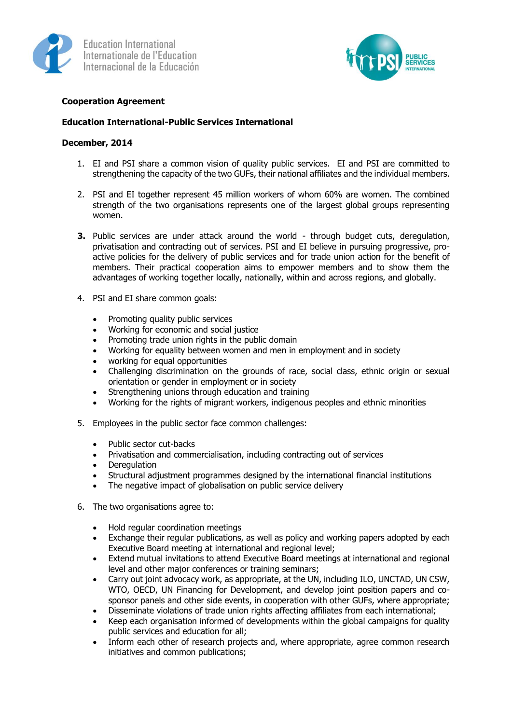



## **Cooperation Agreement**

## **Education International-Public Services International**

## **December, 2014**

- 1. EI and PSI share a common vision of quality public services. EI and PSI are committed to strengthening the capacity of the two GUFs, their national affiliates and the individual members.
- 2. PSI and EI together represent 45 million workers of whom 60% are women. The combined strength of the two organisations represents one of the largest global groups representing women.
- **3.** Public services are under attack around the world through budget cuts, deregulation, privatisation and contracting out of services. PSI and EI believe in pursuing progressive, proactive policies for the delivery of public services and for trade union action for the benefit of members. Their practical cooperation aims to empower members and to show them the advantages of working together locally, nationally, within and across regions, and globally.
- 4. PSI and EI share common goals:
	- Promoting quality public services
	- Working for economic and social justice
	- Promoting trade union rights in the public domain
	- Working for equality between women and men in employment and in society
	- working for equal opportunities
	- Challenging discrimination on the grounds of race, social class, ethnic origin or sexual orientation or gender in employment or in society
	- Strengthening unions through education and training
	- Working for the rights of migrant workers, indigenous peoples and ethnic minorities
- 5. Employees in the public sector face common challenges:
	-
	- Public sector cut-backs<br>• Privatisation and comme Privatisation and commercialisation, including contracting out of services
	- Deregulation
	- Structural adjustment programmes designed by the international financial institutions
	- The negative impact of globalisation on public service delivery
- 6. The two organisations agree to:
	- Hold regular coordination meetings
	- Exchange their regular publications, as well as policy and working papers adopted by each Executive Board meeting at international and regional level;
	- Extend mutual invitations to attend Executive Board meetings at international and regional level and other major conferences or training seminars;
	- Carry out joint advocacy work, as appropriate, at the UN, including ILO, UNCTAD, UN CSW, WTO, OECD, UN Financing for Development, and develop joint position papers and cosponsor panels and other side events, in cooperation with other GUFs, where appropriate;
	- Disseminate violations of trade union rights affecting affiliates from each international;
	- Keep each organisation informed of developments within the global campaigns for quality public services and education for all;
	- Inform each other of research projects and, where appropriate, agree common research initiatives and common publications;